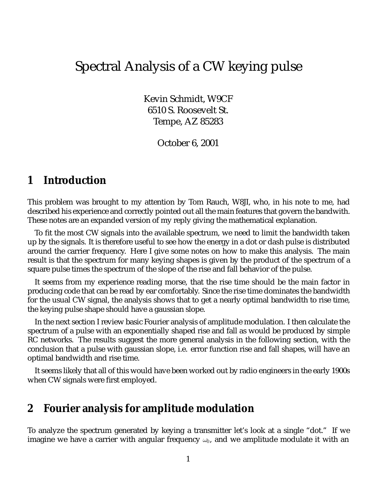# Spectral Analysis of a CW keying pulse

Kevin Schmidt, W9CF 6510 S. Roosevelt St. Tempe, AZ 85283

October 6, 2001

#### **1 Introduction**

This problem was brought to my attention by Tom Rauch, W8JI, who, in his note to me, had described his experience and correctly pointed out all the main features that govern the bandwith. These notes are an expanded version of my reply giving the mathematical explanation.

To fit the most CW signals into the available spectrum, we need to limit the bandwidth taken up by the signals. It is therefore useful to see how the energy in a dot or dash pulse is distributed around the carrier frequency. Here I give some notes on how to make this analysis. The main result is that the spectrum for many keying shapes is given by the product of the spectrum of a square pulse times the spectrum of the slope of the rise and fall behavior of the pulse.

It seems from my experience reading morse, that the rise time should be the main factor in producing code that can be read by ear comfortably. Since the rise time dominates the bandwidth for the usual CW signal, the analysis shows that to get a nearly optimal bandwidth to rise time, the keying pulse shape should have a gaussian slope.

In the next section I review basic Fourier analysis of amplitude modulation. I then calculate the spectrum of a pulse with an exponentially shaped rise and fall as would be produced by simple RC networks. The results suggest the more general analysis in the following section, with the conclusion that a pulse with gaussian slope, i.e. error function rise and fall shapes, will have an optimal bandwidth and rise time.

It seems likely that all of this would have been worked out by radio engineers in the early 1900s when CW signals were first employed.

#### **2 Fourier analysis for amplitude modulation**

To analyze the spectrum generated by keying a transmitter let's look at a single "dot." If we imagine we have a carrier with angular frequency  $\omega_0$ , and we amplitude modulate it with an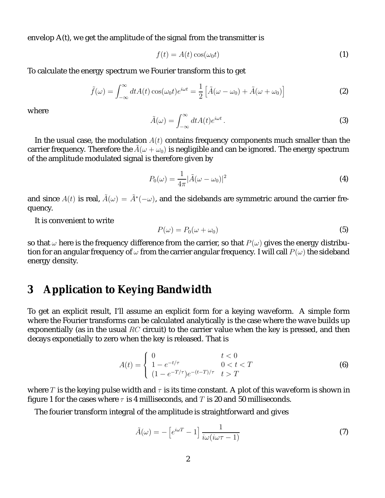envelop A(t), we get the amplitude of the signal from the transmitter is

$$
f(t) = A(t)\cos(\omega_0 t) \tag{1}
$$

To calculate the energy spectrum we Fourier transform this to get

$$
\tilde{f}(\omega) = \int_{-\infty}^{\infty} dt A(t) \cos(\omega_0 t) e^{i\omega t} = \frac{1}{2} \left[ \tilde{A}(\omega - \omega_0) + \tilde{A}(\omega + \omega_0) \right]
$$
 (2)

where

$$
\tilde{A}(\omega) = \int_{-\infty}^{\infty} dt A(t) e^{i\omega t} . \tag{3}
$$

In the usual case, the modulation  $A(t)$  contains frequency components much smaller than the carrier frequency. Therefore the  $\tilde{A}(\omega + \omega_0)$  is negligible and can be ignored. The energy spectrum of the amplitude modulated signal is therefore given by

$$
P_0(\omega) = \frac{1}{4\pi} |\tilde{A}(\omega - \omega_0)|^2
$$
 (4)

and since  $A(t)$  is real,  $\tilde{A}(\omega) = \tilde{A}^*(-\omega)$ , and the sidebands are symmetric around the carrier frequency.

It is convenient to write

$$
P(\omega) = P_0(\omega + \omega_0) \tag{5}
$$

so that  $\omega$  here is the frequency difference from the carrier, so that  $P(\omega)$  gives the energy distribution for an angular frequency of  $\omega$  from the carrier angular frequency. I will call  $P(\omega)$  the sideband energy density.

#### **3 Application to Keying Bandwidth**

To get an explicit result, I'll assume an explicit form for a keying waveform. A simple form where the Fourier transforms can be calculated analytically is the case where the wave builds up exponentially (as in the usual  $RC$  circuit) to the carrier value when the key is pressed, and then decays exponetially to zero when the key is released. That is

$$
A(t) = \begin{cases} 0 & t < 0\\ 1 - e^{-t/\tau} & 0 < t < T\\ (1 - e^{-T/\tau})e^{-(t-T)/\tau} & t > T \end{cases}
$$
(6)

where T is the keying pulse width and  $\tau$  is its time constant. A plot of this waveform is shown in figure 1 for the cases where  $\tau$  is 4 milliseconds, and T is 20 and 50 milliseconds.

The fourier transform integral of the amplitude is straightforward and gives

$$
\tilde{A}(\omega) = -\left[e^{i\omega T} - 1\right] \frac{1}{i\omega(i\omega \tau - 1)}
$$
\n(7)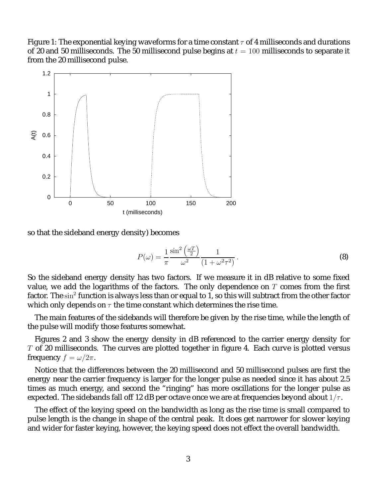Figure 1: The exponential keying waveforms for a time constant  $\tau$  of 4 milliseconds and durations of 20 and 50 milliseconds. The 50 millisecond pulse begins at  $t = 100$  milliseconds to separate it from the 20 millisecond pulse.



so that the sideband energy density) becomes

$$
P(\omega) = \frac{1}{\pi} \frac{\sin^2\left(\frac{\omega T}{2}\right)}{\omega^2} \frac{1}{(1 + \omega^2 \tau^2)}.
$$
\n(8)

So the sideband energy density has two factors. If we measure it in dB relative to some fixed value, we add the logarithms of the factors. The only dependence on  $T$  comes from the first factor. The sin<sup>2</sup> function is always less than or equal to 1, so this will subtract from the other factor which only depends on  $\tau$  the time constant which determines the rise time.

The main features of the sidebands will therefore be given by the rise time, while the length of the pulse will modify those features somewhat.

Figures 2 and 3 show the energy density in dB referenced to the carrier energy density for  $T$  of 20 milliseconds. The curves are plotted together in figure 4. Each curve is plotted versus frequency  $f = \omega/2\pi$ .

Notice that the differences between the 20 millisecond and 50 millisecond pulses are first the energy near the carrier frequency is larger for the longer pulse as needed since it has about 2.5 times as much energy, and second the "ringing" has more oscillations for the longer pulse as expected. The sidebands fall off 12 dB per octave once we are at frequencies beyond about  $1/\tau$ .

The effect of the keying speed on the bandwidth as long as the rise time is small compared to pulse length is the change in shape of the central peak. It does get narrower for slower keying and wider for faster keying, however, the keying speed does not effect the overall bandwidth.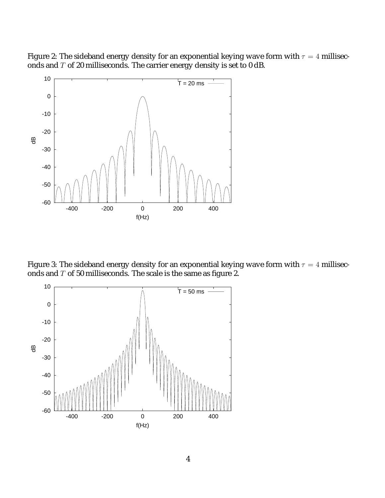Figure 2: The sideband energy density for an exponential keying wave form with  $\tau = 4$  milliseconds and  $T$  of 20 milliseconds. The carrier energy density is set to 0 dB.



Figure 3: The sideband energy density for an exponential keying wave form with  $\tau = 4$  milliseconds and  $T$  of 50 milliseconds. The scale is the same as figure 2.

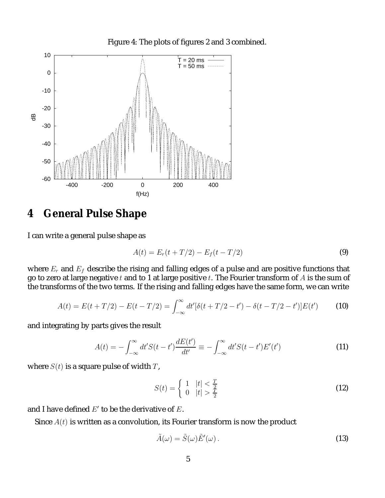

Figure 4: The plots of figures 2 and 3 combined.

### **4 General Pulse Shape**

I can write a general pulse shape as

$$
A(t) = E_r(t + T/2) - E_f(t - T/2)
$$
\n(9)

where  $E_r$  and  $E_f$  describe the rising and falling edges of a pulse and are positive functions that go to zero at large negative t and to 1 at large positive t. The Fourier transform of A is the sum of the transforms of the two terms. If the rising and falling edges have the same form, we can write

$$
A(t) = E(t + T/2) - E(t - T/2) = \int_{-\infty}^{\infty} dt' [\delta(t + T/2 - t') - \delta(t - T/2 - t')] E(t')
$$
 (10)

and integrating by parts gives the result

$$
A(t) = -\int_{-\infty}^{\infty} dt' S(t - t') \frac{dE(t')}{dt'} \equiv -\int_{-\infty}^{\infty} dt' S(t - t') E'(t')
$$
 (11)

where  $S(t)$  is a square pulse of width T,

$$
S(t) = \begin{cases} 1 & |t| < \frac{T}{2} \\ 0 & |t| > \frac{T}{2} \end{cases} \tag{12}
$$

and I have defined  $E'$  to be the derivative of  $E$ .

Since  $A(t)$  is written as a convolution, its Fourier transform is now the product

$$
\tilde{A}(\omega) = \tilde{S}(\omega)\tilde{E}'(\omega). \tag{13}
$$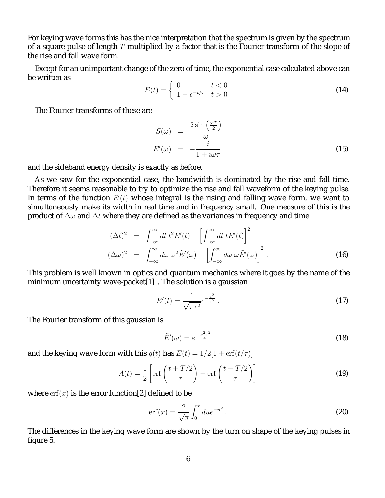For keying wave forms this has the nice interpretation that the spectrum is given by the spectrum of a square pulse of length  $T$  multiplied by a factor that is the Fourier transform of the slope of the rise and fall wave form.

Except for an unimportant change of the zero of time, the exponential case calculated above can be written as

$$
E(t) = \begin{cases} 0 & t < 0\\ 1 - e^{-t/\tau} & t > 0 \end{cases}
$$
 (14)

The Fourier transforms of these are

$$
\tilde{S}(\omega) = \frac{2 \sin \left(\frac{\omega T}{2}\right)}{\omega}
$$
\n
$$
\tilde{E}'(\omega) = -\frac{i}{1 + i\omega \tau}
$$
\n(15)

and the sideband energy density is exactly as before.

As we saw for the exponential case, the bandwidth is dominated by the rise and fall time. Therefore it seems reasonable to try to optimize the rise and fall waveform of the keying pulse. In terms of the function  $E'(t)$  whose integral is the rising and falling wave form, we want to simultaneously make its width in real time and in frequency small. One measure of this is the product of  $\Delta\omega$  and  $\Delta t$  where they are defined as the variances in frequency and time

$$
(\Delta t)^2 = \int_{-\infty}^{\infty} dt \, t^2 E'(t) - \left[ \int_{-\infty}^{\infty} dt \, t E'(t) \right]^2
$$
  

$$
(\Delta \omega)^2 = \int_{-\infty}^{\infty} d\omega \, \omega^2 \tilde{E}'(\omega) - \left[ \int_{-\infty}^{\infty} d\omega \, \omega \tilde{E}'(\omega) \right]^2.
$$
 (16)

This problem is well known in optics and quantum mechanics where it goes by the name of the minimum uncertainty wave-packet[1] . The solution is a gaussian

$$
E'(t) = \frac{1}{\sqrt{\pi \tau^2}} e^{-\frac{t^2}{\tau^2}}.
$$
\n(17)

The Fourier transform of this gaussian is

$$
\tilde{E}'(\omega) = e^{-\frac{\omega^2 \tau^2}{4}} \tag{18}
$$

and the keying wave form with this  $q(t)$  has  $E(t)=1/2[1 + erf(t/\tau)]$ 

$$
A(t) = \frac{1}{2} \left[ \text{erf}\left(\frac{t + T/2}{\tau}\right) - \text{erf}\left(\frac{t - T/2}{\tau}\right) \right]
$$
 (19)

where  $\text{erf}(x)$  is the error function[2] defined to be

$$
\text{erf}(x) = \frac{2}{\sqrt{\pi}} \int_0^x du e^{-u^2} \,. \tag{20}
$$

The differences in the keying wave form are shown by the turn on shape of the keying pulses in figure 5.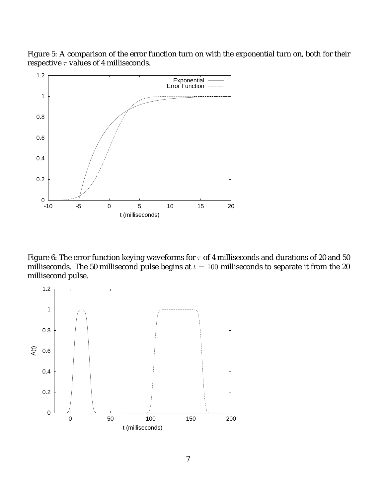Figure 5: A comparison of the error function turn on with the exponential turn on, both for their respective  $\tau$  values of 4 milliseconds.



Figure 6: The error function keying waveforms for  $\tau$  of 4 milliseconds and durations of 20 and 50 milliseconds. The 50 millisecond pulse begins at  $t = 100$  milliseconds to separate it from the 20 millisecond pulse.

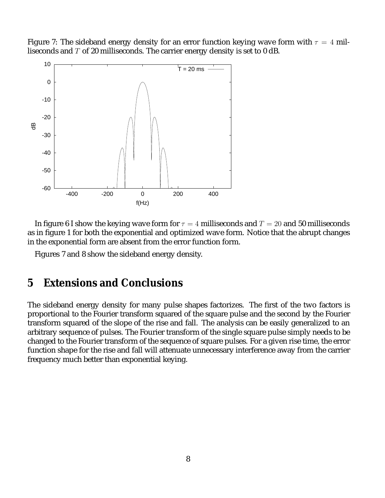Figure 7: The sideband energy density for an error function keying wave form with  $\tau = 4$  milliseconds and T of 20 milliseconds. The carrier energy density is set to 0 dB.



In figure 6 I show the keying wave form for  $\tau = 4$  milliseconds and  $T = 20$  and 50 milliseconds as in figure 1 for both the exponential and optimized wave form. Notice that the abrupt changes in the exponential form are absent from the error function form.

Figures 7 and 8 show the sideband energy density.

## **5 Extensions and Conclusions**

The sideband energy density for many pulse shapes factorizes. The first of the two factors is proportional to the Fourier transform squared of the square pulse and the second by the Fourier transform squared of the slope of the rise and fall. The analysis can be easily generalized to an arbitrary sequence of pulses. The Fourier transform of the single square pulse simply needs to be changed to the Fourier transform of the sequence of square pulses. For a given rise time, the error function shape for the rise and fall will attenuate unnecessary interference away from the carrier frequency much better than exponential keying.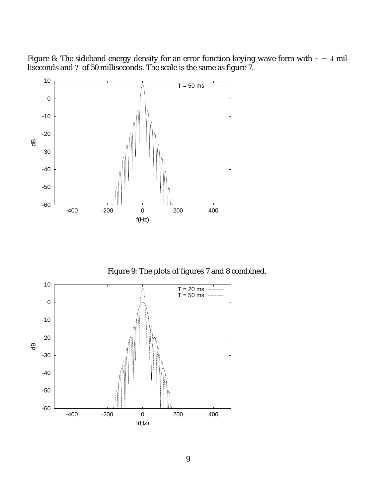Figure 8: The sideband energy density for an error function keying wave form with  $\tau=4$  milliseconds and  $T$  of 50 milliseconds. The scale is the same as figure 7.



Figure 9: The plots of figures 7 and 8 combined.